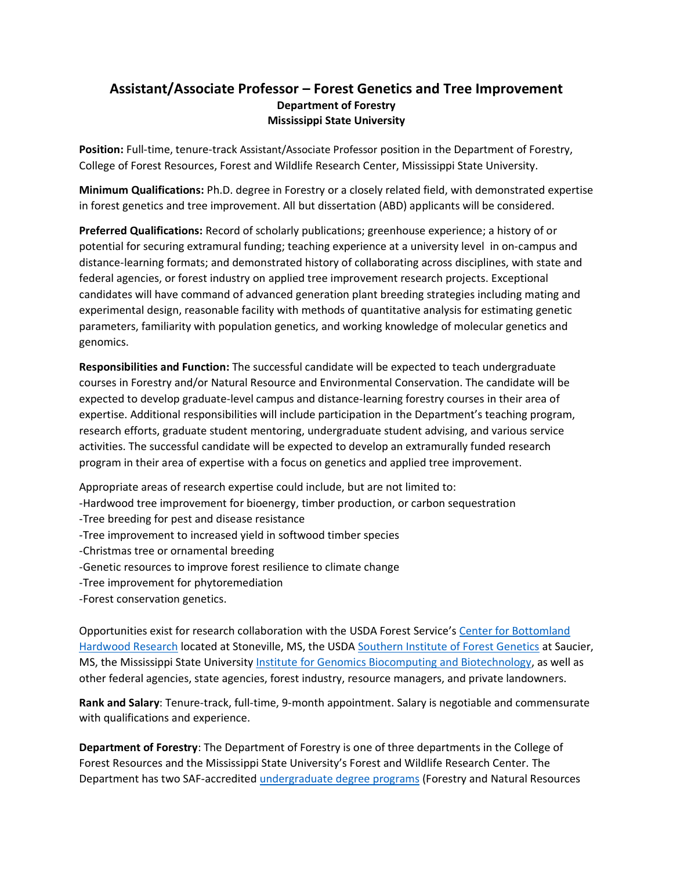## **Assistant/Associate Professor – Forest Genetics and Tree Improvement Department of Forestry Mississippi State University**

**Position:** Full-time, tenure-track Assistant/Associate Professor position in the Department of Forestry, College of Forest Resources, Forest and Wildlife Research Center, Mississippi State University.

**Minimum Qualifications:** Ph.D. degree in Forestry or a closely related field, with demonstrated expertise in forest genetics and tree improvement. All but dissertation (ABD) applicants will be considered.

**Preferred Qualifications:** Record of scholarly publications; greenhouse experience; a history of or potential for securing extramural funding; teaching experience at a university level in on-campus and distance-learning formats; and demonstrated history of collaborating across disciplines, with state and federal agencies, or forest industry on applied tree improvement research projects. Exceptional candidates will have command of advanced generation plant breeding strategies including mating and experimental design, reasonable facility with methods of quantitative analysis for estimating genetic parameters, familiarity with population genetics, and working knowledge of molecular genetics and genomics.

**Responsibilities and Function:** The successful candidate will be expected to teach undergraduate courses in Forestry and/or Natural Resource and Environmental Conservation. The candidate will be expected to develop graduate-level campus and distance-learning forestry courses in their area of expertise. Additional responsibilities will include participation in the Department's teaching program, research efforts, graduate student mentoring, undergraduate student advising, and various service activities. The successful candidate will be expected to develop an extramurally funded research program in their area of expertise with a focus on genetics and applied tree improvement.

Appropriate areas of research expertise could include, but are not limited to:

- -Hardwood tree improvement for bioenergy, timber production, or carbon sequestration
- -Tree breeding for pest and disease resistance
- -Tree improvement to increased yield in softwood timber species
- -Christmas tree or ornamental breeding
- -Genetic resources to improve forest resilience to climate change
- -Tree improvement for phytoremediation
- -Forest conservation genetics.

Opportunities exist for research collaboration with the USDA Forest Service's [Center for Bottomland](https://www.srs.fs.usda.gov/cbhr/)  [Hardwood Research](https://www.srs.fs.usda.gov/cbhr/) located at Stoneville, MS, the USD[A Southern Institute of Forest Genetics](https://www.srs.fs.usda.gov/sifg/) at Saucier, MS, the Mississippi State University [Institute for Genomics Biocomputing and Biotechnology,](https://www.igbb.msstate.edu/) as well as other federal agencies, state agencies, forest industry, resource managers, and private landowners.

**Rank and Salary**: Tenure-track, full-time, 9-month appointment. Salary is negotiable and commensurate with qualifications and experience.

**Department of Forestry**: The Department of Forestry is one of three departments in the College of Forest Resources and the Mississippi State University's Forest and Wildlife Research Center. The Department has two SAF-accredited [undergraduate degree programs](https://www.cfr.msstate.edu/forestry/undergraduate.asp) (Forestry and Natural Resources